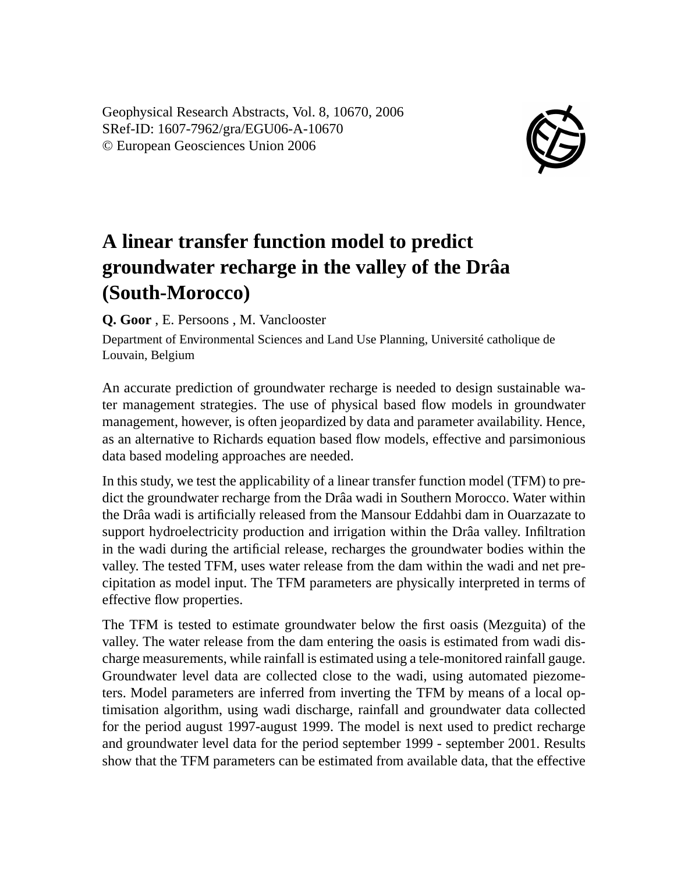Geophysical Research Abstracts, Vol. 8, 10670, 2006 SRef-ID: 1607-7962/gra/EGU06-A-10670 © European Geosciences Union 2006



## **A linear transfer function model to predict groundwater recharge in the valley of the Drâa (South-Morocco)**

**Q. Goor** , E. Persoons , M. Vanclooster

Department of Environmental Sciences and Land Use Planning, Université catholique de Louvain, Belgium

An accurate prediction of groundwater recharge is needed to design sustainable water management strategies. The use of physical based flow models in groundwater management, however, is often jeopardized by data and parameter availability. Hence, as an alternative to Richards equation based flow models, effective and parsimonious data based modeling approaches are needed.

In this study, we test the applicability of a linear transfer function model (TFM) to predict the groundwater recharge from the Drâa wadi in Southern Morocco. Water within the Drâa wadi is artificially released from the Mansour Eddahbi dam in Ouarzazate to support hydroelectricity production and irrigation within the Drâa valley. Infiltration in the wadi during the artificial release, recharges the groundwater bodies within the valley. The tested TFM, uses water release from the dam within the wadi and net precipitation as model input. The TFM parameters are physically interpreted in terms of effective flow properties.

The TFM is tested to estimate groundwater below the first oasis (Mezguita) of the valley. The water release from the dam entering the oasis is estimated from wadi discharge measurements, while rainfall is estimated using a tele-monitored rainfall gauge. Groundwater level data are collected close to the wadi, using automated piezometers. Model parameters are inferred from inverting the TFM by means of a local optimisation algorithm, using wadi discharge, rainfall and groundwater data collected for the period august 1997-august 1999. The model is next used to predict recharge and groundwater level data for the period september 1999 - september 2001. Results show that the TFM parameters can be estimated from available data, that the effective